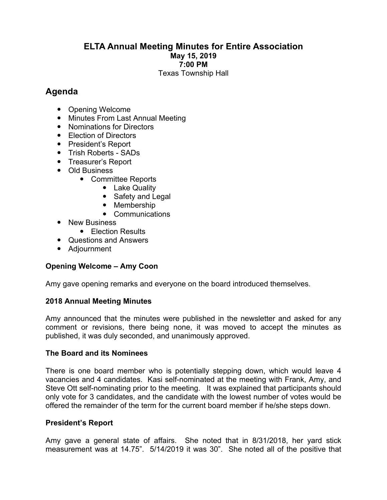## **ELTA Annual Meeting Minutes for Entire Association May 15, 2019 7:00 PM** Texas Township Hall

# **Agenda**

- Opening Welcome
- Minutes From Last Annual Meeting
- Nominations for Directors
- Election of Directors
- President's Report
- Trish Roberts SADs
- Treasurer's Report
- Old Business
	- Committee Reports
		- Lake Quality
		- Safety and Legal
		- Membership
		- Communications
- New Business
	- Flection Results
- Questions and Answers
- Adjournment

# **Opening Welcome – Amy Coon**

Amy gave opening remarks and everyone on the board introduced themselves.

# **2018 Annual Meeting Minutes**

Amy announced that the minutes were published in the newsletter and asked for any comment or revisions, there being none, it was moved to accept the minutes as published, it was duly seconded, and unanimously approved.

## **The Board and its Nominees**

There is one board member who is potentially stepping down, which would leave 4 vacancies and 4 candidates. Kasi self-nominated at the meeting with Frank, Amy, and Steve Ott self-nominating prior to the meeting. It was explained that participants should only vote for 3 candidates, and the candidate with the lowest number of votes would be offered the remainder of the term for the current board member if he/she steps down.

## **President's Report**

Amy gave a general state of affairs. She noted that in 8/31/2018, her yard stick measurement was at 14.75". 5/14/2019 it was 30". She noted all of the positive that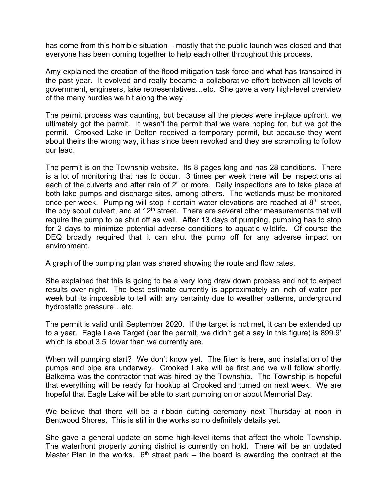has come from this horrible situation – mostly that the public launch was closed and that everyone has been coming together to help each other throughout this process.

Amy explained the creation of the flood mitigation task force and what has transpired in the past year. It evolved and really became a collaborative effort between all levels of government, engineers, lake representatives…etc. She gave a very high-level overview of the many hurdles we hit along the way.

The permit process was daunting, but because all the pieces were in-place upfront, we ultimately got the permit. It wasn't the permit that we were hoping for, but we got the permit. Crooked Lake in Delton received a temporary permit, but because they went about theirs the wrong way, it has since been revoked and they are scrambling to follow our lead.

The permit is on the Township website. Its 8 pages long and has 28 conditions. There is a lot of monitoring that has to occur. 3 times per week there will be inspections at each of the culverts and after rain of 2" or more. Daily inspections are to take place at both lake pumps and discharge sites, among others. The wetlands must be monitored once per week. Pumping will stop if certain water elevations are reached at  $8<sup>th</sup>$  street, the boy scout culvert, and at  $12<sup>th</sup>$  street. There are several other measurements that will require the pump to be shut off as well. After 13 days of pumping, pumping has to stop for 2 days to minimize potential adverse conditions to aquatic wildlife. Of course the DEQ broadly required that it can shut the pump off for any adverse impact on environment.

A graph of the pumping plan was shared showing the route and flow rates.

She explained that this is going to be a very long draw down process and not to expect results over night. The best estimate currently is approximately an inch of water per week but its impossible to tell with any certainty due to weather patterns, underground hydrostatic pressure…etc.

The permit is valid until September 2020. If the target is not met, it can be extended up to a year. Eagle Lake Target (per the permit, we didn't get a say in this figure) is 899.9' which is about 3.5' lower than we currently are.

When will pumping start? We don't know yet. The filter is here, and installation of the pumps and pipe are underway. Crooked Lake will be first and we will follow shortly. Balkema was the contractor that was hired by the Township. The Township is hopeful that everything will be ready for hookup at Crooked and turned on next week. We are hopeful that Eagle Lake will be able to start pumping on or about Memorial Day.

We believe that there will be a ribbon cutting ceremony next Thursday at noon in Bentwood Shores. This is still in the works so no definitely details yet.

She gave a general update on some high-level items that affect the whole Township. The waterfront property zoning district is currently on hold. There will be an updated Master Plan in the works.  $6<sup>th</sup>$  street park – the board is awarding the contract at the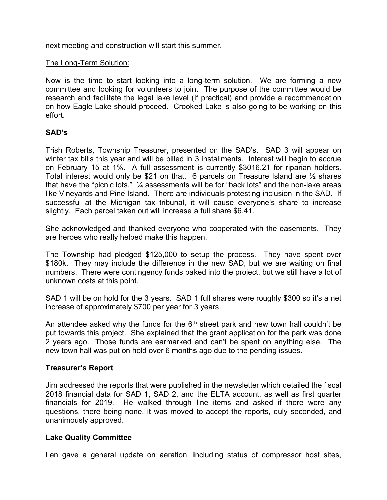next meeting and construction will start this summer.

#### The Long-Term Solution:

Now is the time to start looking into a long-term solution. We are forming a new committee and looking for volunteers to join. The purpose of the committee would be research and facilitate the legal lake level (if practical) and provide a recommendation on how Eagle Lake should proceed. Crooked Lake is also going to be working on this effort.

#### **SAD's**

Trish Roberts, Township Treasurer, presented on the SAD's. SAD 3 will appear on winter tax bills this year and will be billed in 3 installments. Interest will begin to accrue on February 15 at 1%. A full assessment is currently \$3016.21 for riparian holders. Total interest would only be \$21 on that. 6 parcels on Treasure Island are  $\frac{1}{2}$  shares that have the "picnic lots." ¼ assessments will be for "back lots" and the non-lake areas like Vineyards and Pine Island. There are individuals protesting inclusion in the SAD. If successful at the Michigan tax tribunal, it will cause everyone's share to increase slightly. Each parcel taken out will increase a full share \$6.41.

She acknowledged and thanked everyone who cooperated with the easements. They are heroes who really helped make this happen.

The Township had pledged \$125,000 to setup the process. They have spent over \$180k. They may include the difference in the new SAD, but we are waiting on final numbers. There were contingency funds baked into the project, but we still have a lot of unknown costs at this point.

SAD 1 will be on hold for the 3 years. SAD 1 full shares were roughly \$300 so it's a net increase of approximately \$700 per year for 3 years.

An attendee asked why the funds for the  $6<sup>th</sup>$  street park and new town hall couldn't be put towards this project. She explained that the grant application for the park was done 2 years ago. Those funds are earmarked and can't be spent on anything else. The new town hall was put on hold over 6 months ago due to the pending issues.

## **Treasurer's Report**

Jim addressed the reports that were published in the newsletter which detailed the fiscal 2018 financial data for SAD 1, SAD 2, and the ELTA account, as well as first quarter financials for 2019. He walked through line items and asked if there were any questions, there being none, it was moved to accept the reports, duly seconded, and unanimously approved.

## **Lake Quality Committee**

Len gave a general update on aeration, including status of compressor host sites,